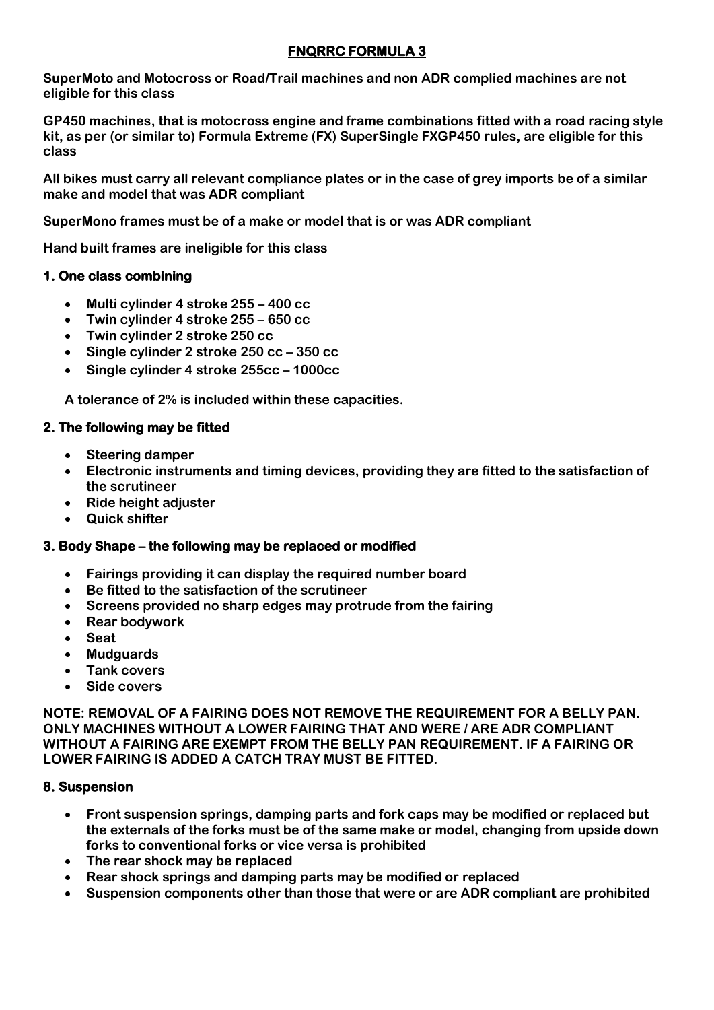# **FNQRRC FORMULA 3**

**SuperMoto and Motocross or Road/Trail machines and non ADR complied machines are not eligible for this class**

**GP450 machines, that is motocross engine and frame combinations fitted with a road racing style kit, as per (or similar to) Formula Extreme (FX) SuperSingle FXGP450 rules, are eligible for this class**

**All bikes must carry all relevant compliance plates or in the case of grey imports be of a similar make and model that was ADR compliant**

**SuperMono frames must be of a make or model that is or was ADR compliant**

**Hand built frames are ineligible for this class**

### **1. One class combining**

- **Multi cylinder 4 stroke 255 – 400 cc**
- **Twin cylinder 4 stroke 255 – 650 cc**
- **Twin cylinder 2 stroke 250 cc**
- **Single cylinder 2 stroke 250 cc – 350 cc**
- **Single cylinder 4 stroke 255cc – 1000cc**

**A tolerance of 2% is included within these capacities.**

### **2. The following may be fitted**

- **Steering damper**
- **Electronic instruments and timing devices, providing they are fitted to the satisfaction of the scrutineer**
- **Ride height adjuster**
- **Quick shifter**

## **3. Body Shape – the following may be replaced or modified**

- **Fairings providing it can display the required number board**
- **Be fitted to the satisfaction of the scrutineer**
- **Screens provided no sharp edges may protrude from the fairing**
- **Rear bodywork**
- **Seat**
- **Mudguards**
- **Tank covers**
- **Side covers**

**NOTE: REMOVAL OF A FAIRING DOES NOT REMOVE THE REQUIREMENT FOR A BELLY PAN. ONLY MACHINES WITHOUT A LOWER FAIRING THAT AND WERE / ARE ADR COMPLIANT WITHOUT A FAIRING ARE EXEMPT FROM THE BELLY PAN REQUIREMENT. IF A FAIRING OR LOWER FAIRING IS ADDED A CATCH TRAY MUST BE FITTED.**

## **8. Suspension**

- **Front suspension springs, damping parts and fork caps may be modified or replaced but the externals of the forks must be of the same make or model, changing from upside down forks to conventional forks or vice versa is prohibited**
- **The rear shock may be replaced**
- **Rear shock springs and damping parts may be modified or replaced**
- **Suspension components other than those that were or are ADR compliant are prohibited**